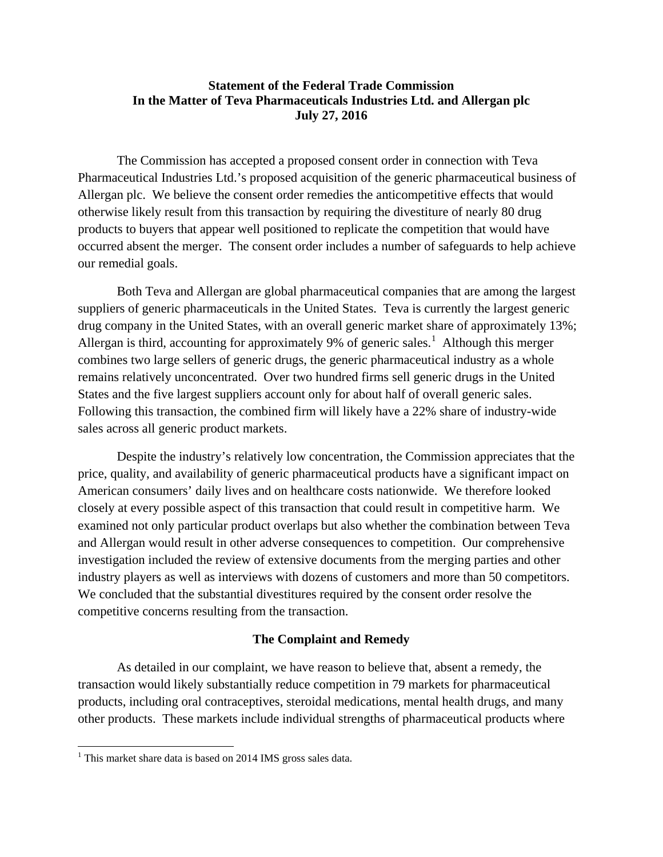## **Statement of the Federal Trade Commission In the Matter of Teva Pharmaceuticals Industries Ltd. and Allergan plc July 27, 2016**

The Commission has accepted a proposed consent order in connection with Teva Pharmaceutical Industries Ltd.'s proposed acquisition of the generic pharmaceutical business of Allergan plc. We believe the consent order remedies the anticompetitive effects that would otherwise likely result from this transaction by requiring the divestiture of nearly 80 drug products to buyers that appear well positioned to replicate the competition that would have occurred absent the merger. The consent order includes a number of safeguards to help achieve our remedial goals.

Both Teva and Allergan are global pharmaceutical companies that are among the largest suppliers of generic pharmaceuticals in the United States. Teva is currently the largest generic drug company in the United States, with an overall generic market share of approximately 13%; Allergan is third, accounting for approximately 9% of generic sales.<sup>[1](#page-0-0)</sup> Although this merger combines two large sellers of generic drugs, the generic pharmaceutical industry as a whole remains relatively unconcentrated. Over two hundred firms sell generic drugs in the United States and the five largest suppliers account only for about half of overall generic sales. Following this transaction, the combined firm will likely have a 22% share of industry-wide sales across all generic product markets.

Despite the industry's relatively low concentration, the Commission appreciates that the price, quality, and availability of generic pharmaceutical products have a significant impact on American consumers' daily lives and on healthcare costs nationwide. We therefore looked closely at every possible aspect of this transaction that could result in competitive harm. We examined not only particular product overlaps but also whether the combination between Teva and Allergan would result in other adverse consequences to competition. Our comprehensive investigation included the review of extensive documents from the merging parties and other industry players as well as interviews with dozens of customers and more than 50 competitors. We concluded that the substantial divestitures required by the consent order resolve the competitive concerns resulting from the transaction.

## **The Complaint and Remedy**

As detailed in our complaint, we have reason to believe that, absent a remedy, the transaction would likely substantially reduce competition in 79 markets for pharmaceutical products, including oral contraceptives, steroidal medications, mental health drugs, and many other products. These markets include individual strengths of pharmaceutical products where

 $\overline{\phantom{a}}$ 

<span id="page-0-0"></span> $1$  This market share data is based on 2014 IMS gross sales data.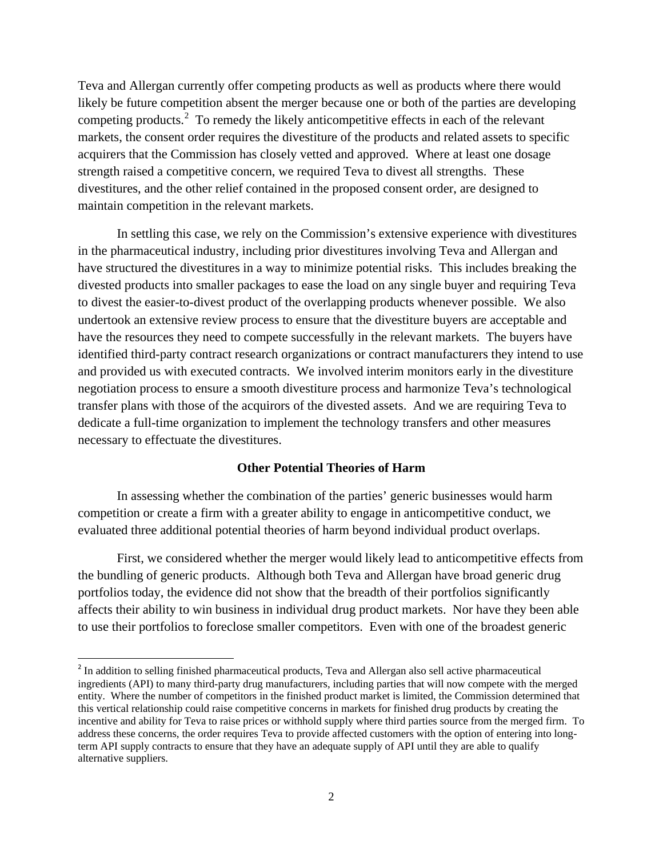Teva and Allergan currently offer competing products as well as products where there would likely be future competition absent the merger because one or both of the parties are developing competing products.<sup>[2](#page-1-0)</sup> To remedy the likely anticompetitive effects in each of the relevant markets, the consent order requires the divestiture of the products and related assets to specific acquirers that the Commission has closely vetted and approved. Where at least one dosage strength raised a competitive concern, we required Teva to divest all strengths. These divestitures, and the other relief contained in the proposed consent order, are designed to maintain competition in the relevant markets.

In settling this case, we rely on the Commission's extensive experience with divestitures in the pharmaceutical industry, including prior divestitures involving Teva and Allergan and have structured the divestitures in a way to minimize potential risks. This includes breaking the divested products into smaller packages to ease the load on any single buyer and requiring Teva to divest the easier-to-divest product of the overlapping products whenever possible. We also undertook an extensive review process to ensure that the divestiture buyers are acceptable and have the resources they need to compete successfully in the relevant markets. The buyers have identified third-party contract research organizations or contract manufacturers they intend to use and provided us with executed contracts. We involved interim monitors early in the divestiture negotiation process to ensure a smooth divestiture process and harmonize Teva's technological transfer plans with those of the acquirors of the divested assets. And we are requiring Teva to dedicate a full-time organization to implement the technology transfers and other measures necessary to effectuate the divestitures.

## **Other Potential Theories of Harm**

In assessing whether the combination of the parties' generic businesses would harm competition or create a firm with a greater ability to engage in anticompetitive conduct, we evaluated three additional potential theories of harm beyond individual product overlaps.

First, we considered whether the merger would likely lead to anticompetitive effects from the bundling of generic products. Although both Teva and Allergan have broad generic drug portfolios today, the evidence did not show that the breadth of their portfolios significantly affects their ability to win business in individual drug product markets. Nor have they been able to use their portfolios to foreclose smaller competitors. Even with one of the broadest generic

<span id="page-1-0"></span><sup>&</sup>lt;sup>2</sup> In addition to selling finished pharmaceutical products, Teva and Allergan also sell active pharmaceutical ingredients (API) to many third-party drug manufacturers, including parties that will now compete with the merged entity. Where the number of competitors in the finished product market is limited, the Commission determined that this vertical relationship could raise competitive concerns in markets for finished drug products by creating the incentive and ability for Teva to raise prices or withhold supply where third parties source from the merged firm. To address these concerns, the order requires Teva to provide affected customers with the option of entering into longterm API supply contracts to ensure that they have an adequate supply of API until they are able to qualify alternative suppliers.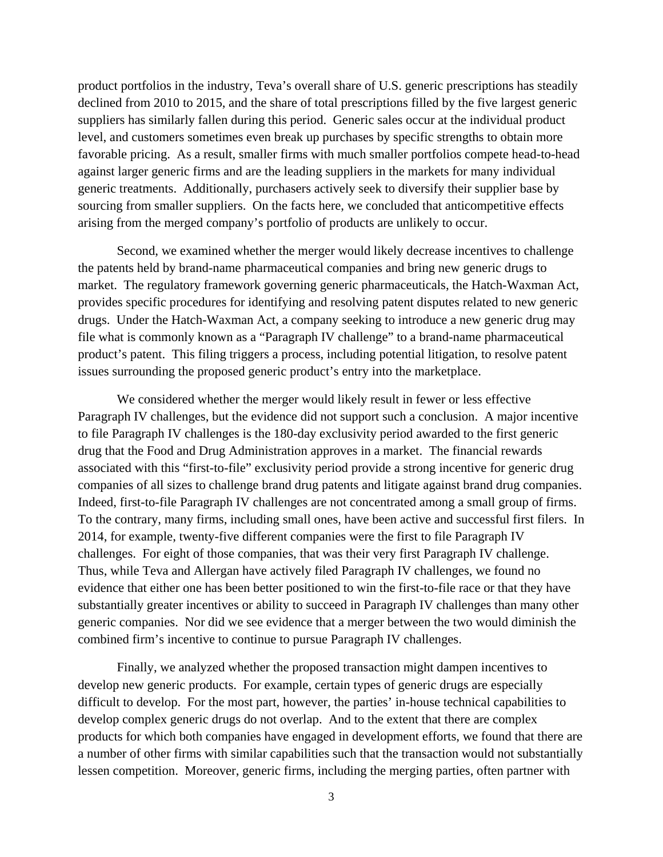product portfolios in the industry, Teva's overall share of U.S. generic prescriptions has steadily declined from 2010 to 2015, and the share of total prescriptions filled by the five largest generic suppliers has similarly fallen during this period. Generic sales occur at the individual product level, and customers sometimes even break up purchases by specific strengths to obtain more favorable pricing. As a result, smaller firms with much smaller portfolios compete head-to-head against larger generic firms and are the leading suppliers in the markets for many individual generic treatments. Additionally, purchasers actively seek to diversify their supplier base by sourcing from smaller suppliers. On the facts here, we concluded that anticompetitive effects arising from the merged company's portfolio of products are unlikely to occur.

Second, we examined whether the merger would likely decrease incentives to challenge the patents held by brand-name pharmaceutical companies and bring new generic drugs to market. The regulatory framework governing generic pharmaceuticals, the Hatch-Waxman Act, provides specific procedures for identifying and resolving patent disputes related to new generic drugs. Under the Hatch-Waxman Act, a company seeking to introduce a new generic drug may file what is commonly known as a "Paragraph IV challenge" to a brand-name pharmaceutical product's patent. This filing triggers a process, including potential litigation, to resolve patent issues surrounding the proposed generic product's entry into the marketplace.

We considered whether the merger would likely result in fewer or less effective Paragraph IV challenges, but the evidence did not support such a conclusion. A major incentive to file Paragraph IV challenges is the 180-day exclusivity period awarded to the first generic drug that the Food and Drug Administration approves in a market. The financial rewards associated with this "first-to-file" exclusivity period provide a strong incentive for generic drug companies of all sizes to challenge brand drug patents and litigate against brand drug companies. Indeed, first-to-file Paragraph IV challenges are not concentrated among a small group of firms. To the contrary, many firms, including small ones, have been active and successful first filers. In 2014, for example, twenty-five different companies were the first to file Paragraph IV challenges. For eight of those companies, that was their very first Paragraph IV challenge. Thus, while Teva and Allergan have actively filed Paragraph IV challenges, we found no evidence that either one has been better positioned to win the first-to-file race or that they have substantially greater incentives or ability to succeed in Paragraph IV challenges than many other generic companies. Nor did we see evidence that a merger between the two would diminish the combined firm's incentive to continue to pursue Paragraph IV challenges.

Finally, we analyzed whether the proposed transaction might dampen incentives to develop new generic products. For example, certain types of generic drugs are especially difficult to develop. For the most part, however, the parties' in-house technical capabilities to develop complex generic drugs do not overlap. And to the extent that there are complex products for which both companies have engaged in development efforts, we found that there are a number of other firms with similar capabilities such that the transaction would not substantially lessen competition. Moreover, generic firms, including the merging parties, often partner with